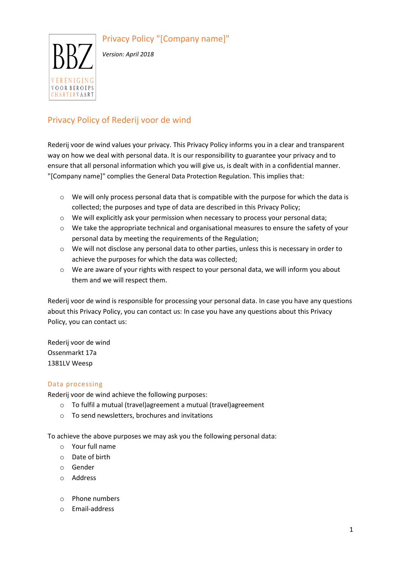Privacy Policy "[Company name]"



*Version: April 2018*

# Privacy Policy of Rederij voor de wind

Rederij voor de wind values your privacy. This Privacy Policy informs you in a clear and transparent way on how we deal with personal data. It is our responsibility to guarantee your privacy and to ensure that all personal information which you will give us, is dealt with in a confidential manner. "[Company name]" complies the General Data Protection Regulation. This implies that:

- $\circ$  We will only process personal data that is compatible with the purpose for which the data is collected; the purposes and type of data are described in this Privacy Policy;
- o We will explicitly ask your permission when necessary to process your personal data;
- $\circ$  We take the appropriate technical and organisational measures to ensure the safety of your personal data by meeting the requirements of the Regulation;
- $\circ$  We will not disclose any personal data to other parties, unless this is necessary in order to achieve the purposes for which the data was collected;
- $\circ$  We are aware of your rights with respect to your personal data, we will inform you about them and we will respect them.

Rederij voor de wind is responsible for processing your personal data. In case you have any questions about this Privacy Policy, you can contact us: In case you have any questions about this Privacy Policy, you can contact us:

Rederij voor de wind Ossenmarkt 17a 1381LV Weesp

#### Data processing

Rederij voor de wind achieve the following purposes:

- o To fulfil a mutual (travel)agreement a mutual (travel)agreement
- o To send newsletters, brochures and invitations

To achieve the above purposes we may ask you the following personal data:

- o Your full name
- o Date of birth
- o Gender
- o Address
- o Phone numbers
- o Email-address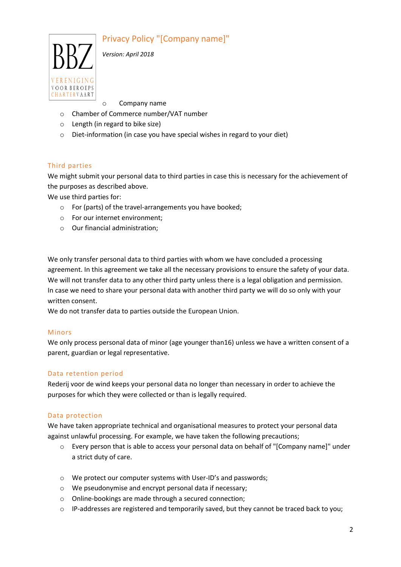# Privacy Policy "[Company name]"



*Version: April 2018*

o Company name

- o Chamber of Commerce number/VAT number
- o Length (in regard to bike size)
- o Diet-information (in case you have special wishes in regard to your diet)

## Third parties

We might submit your personal data to third parties in case this is necessary for the achievement of the purposes as described above.

We use third parties for:

- o For (parts) of the travel-arrangements you have booked;
- o For our internet environment;
- o Our financial administration;

We only transfer personal data to third parties with whom we have concluded a processing agreement. In this agreement we take all the necessary provisions to ensure the safety of your data. We will not transfer data to any other third party unless there is a legal obligation and permission. In case we need to share your personal data with another third party we will do so only with your written consent.

We do not transfer data to parties outside the European Union.

#### Minors

We only process personal data of minor (age younger than16) unless we have a written consent of a parent, guardian or legal representative.

#### Data retention period

Rederij voor de wind keeps your personal data no longer than necessary in order to achieve the purposes for which they were collected or than is legally required.

#### Data protection

We have taken appropriate technical and organisational measures to protect your personal data against unlawful processing. For example, we have taken the following precautions;

- $\circ$  Every person that is able to access your personal data on behalf of "[Company name]" under a strict duty of care.
- o We protect our computer systems with User-ID's and passwords;
- o We pseudonymise and encrypt personal data if necessary;
- o Online-bookings are made through a secured connection;
- $\circ$  IP-addresses are registered and temporarily saved, but they cannot be traced back to you;